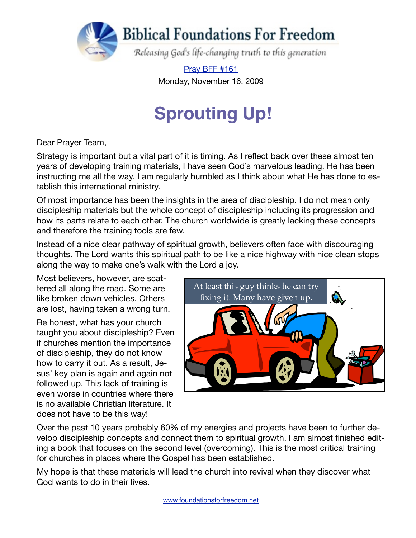

[Pray BFF #161](http://www.foundationsforfreedom.net/Help/TeamsF/Pray/Archives/Pray2009/pdf/PrayBFF161.pdf) Monday, November 16, 2009

# **Sprouting Up!**

Dear Prayer Team,

Strategy is important but a vital part of it is timing. As I reflect back over these almost ten years of developing training materials, I have seen God's marvelous leading. He has been instructing me all the way. I am regularly humbled as I think about what He has done to establish this international ministry.

Of most importance has been the insights in the area of discipleship. I do not mean only discipleship materials but the whole concept of discipleship including its progression and how its parts relate to each other. The church worldwide is greatly lacking these concepts and therefore the training tools are few.

Instead of a nice clear pathway of spiritual growth, believers often face with discouraging thoughts. The Lord wants this spiritual path to be like a nice highway with nice clean stops along the way to make one's walk with the Lord a joy.

Most believers, however, are scattered all along the road. Some are like broken down vehicles. Others are lost, having taken a wrong turn.

Be honest, what has your church taught you about discipleship? Even if churches mention the importance of discipleship, they do not know how to carry it out. As a result, Jesus' key plan is again and again not followed up. This lack of training is even worse in countries where there is no available Christian literature. It does not have to be this way!



Over the past 10 years probably 60% of my energies and projects have been to further develop discipleship concepts and connect them to spiritual growth. I am almost finished editing a book that focuses on the second level (overcoming). This is the most critical training for churches in places where the Gospel has been established.

My hope is that these materials will lead the church into revival when they discover what God wants to do in their lives.